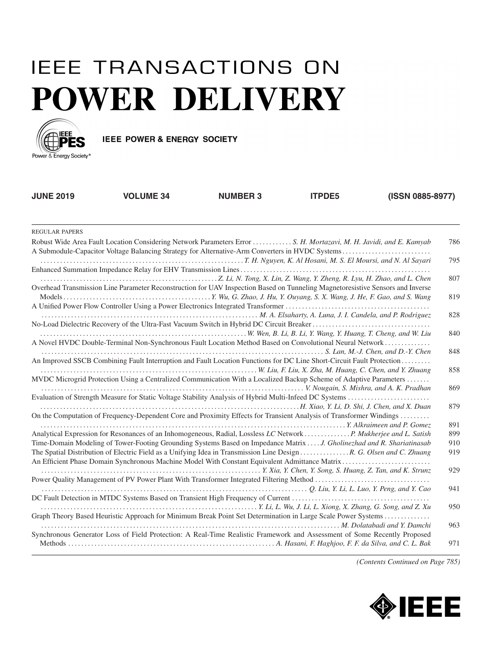## **IEEE TRANSACTIONS ON POWER DELIVERY**



IEEE POWER & ENERGY SOCIETY

| <b>JUNE 2019</b> | <b>VOLUME 34</b>                                                                                                               | <b>NUMBER 3</b> | <b>ITPDE5</b> | (ISSN 0885-8977) |     |
|------------------|--------------------------------------------------------------------------------------------------------------------------------|-----------------|---------------|------------------|-----|
| REGULAR PAPERS   |                                                                                                                                |                 |               |                  |     |
|                  | Robust Wide Area Fault Location Considering Network Parameters Error  S. H. Mortazavi, M. H. Javidi, and E. Kamyab             |                 |               |                  | 786 |
|                  |                                                                                                                                |                 |               |                  | 795 |
|                  | Overhead Transmission Line Parameter Reconstruction for UAV Inspection Based on Tunneling Magnetoresistive Sensors and Inverse |                 |               |                  | 807 |
|                  |                                                                                                                                |                 |               |                  | 819 |
|                  |                                                                                                                                |                 |               |                  | 828 |
|                  | A Novel HVDC Double-Terminal Non-Synchronous Fault Location Method Based on Convolutional Neural Network                       |                 |               |                  | 840 |
|                  | An Improved SSCB Combining Fault Interruption and Fault Location Functions for DC Line Short-Circuit Fault Protection          |                 |               |                  | 848 |
|                  | MVDC Microgrid Protection Using a Centralized Communication With a Localized Backup Scheme of Adaptive Parameters              |                 |               |                  | 858 |
|                  | V. Nougain, S. Mishra, and A. K. Pradhan                                                                                       |                 |               |                  | 869 |
|                  | On the Computation of Frequency-Dependent Core and Proximity Effects for Transient Analysis of Transformer Windings            |                 |               |                  | 879 |
|                  |                                                                                                                                |                 |               |                  | 891 |
|                  | Analytical Expression for Resonances of an Inhomogeneous, Radial, Lossless LC Network P. Mukherjee and L. Satish               |                 |               |                  | 899 |
|                  | Time-Domain Modeling of Tower-Footing Grounding Systems Based on Impedance Matrix  J. Gholinezhad and R. Shariatinasab         |                 |               |                  | 910 |
|                  | The Spatial Distribution of Electric Field as a Unifying Idea in Transmission Line Design  R. G. Olsen and C. Zhuang           |                 |               |                  | 919 |
|                  |                                                                                                                                |                 |               |                  | 929 |
|                  | $Q.$ Liu, Y. Li, L. Luo, Y. Peng, and Y. Cao                                                                                   |                 |               |                  | 941 |
|                  |                                                                                                                                |                 |               |                  |     |
|                  |                                                                                                                                |                 |               |                  | 950 |

Graph Theory Based Heuristic Approach for Minimum Break Point Set Determination in Large Scale Power Systems . . . . . . . . . . . . . .

Synchronous Generator Loss of Field Protection: A Real-Time Realistic Framework and Assessment of Some Recently Proposed

*. . . . . . . . . . . . . . . . . . . . . . . . . . . . . . . . . . . . . . . . . . . . . . . . . . . . . . . . . . . . . . . . . . . . . . . . . . . . . . . . . . . . . . . . . . . M. Dolatabadi and Y. Damchi* 963

Methods . . . . . . . . . . . . . . . . . . . . . . . . . . . . . . . . . . . . . . . . . . . . . . . . . . . . . . . . . . . . . . . *A. Hasani, F. Haghjoo, F. F. da Silva, and C. L. Bak* 971

*(Contents Continued on Page 785)*